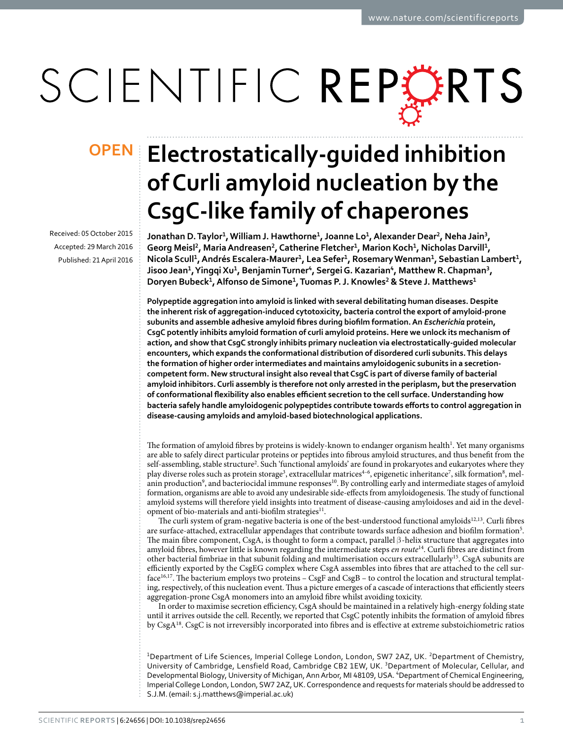# SCIENTIFIC REPORTS

Received: 05 October 2015 Accepted: 29 March 2016 Published: 21 April 2016

## **electrostatically-guided inhibition of Curli amyloid nucleation by the CsgC-like family of chaperones**

**Jonathan D. taylor<sup>1</sup> , William J. Hawthorne<sup>1</sup> , Joanne Lo<sup>1</sup> , Alexander Dear<sup>2</sup> , Neha Jain<sup>3</sup> , Georg Meisl<sup>2</sup> , Maria Andreasen<sup>2</sup> , Catherine Fletcher<sup>1</sup> , Marion Koch<sup>1</sup> , Nicholas Darvill<sup>1</sup> , Nicola scull<sup>1</sup> , Andrés escalera-Maurer<sup>1</sup> , Lea sefer<sup>1</sup> , Rosemary Wenman<sup>1</sup> , sebastian Lambert<sup>1</sup> , Jisoo Jean<sup>1</sup> , Yingqi Xu<sup>1</sup> , Benjamin turner<sup>4</sup> , sergei G. Kazarian<sup>4</sup> , Matthew R. Chapman<sup>3</sup> , Doryen Bubeck<sup>1</sup> , Alfonso de simone<sup>1</sup> , tuomas p. J. Knowles<sup>2</sup> & steve J. Matthews<sup>1</sup>**

**polypeptide aggregation into amyloid is linked with several debilitating human diseases. Despite the inherent risk of aggregation-induced cytotoxicity, bacteria control the export of amyloid-prone subunits and assemble adhesive amyloid fibres during biofilm formation. An** *Escherichia* **protein, CsgC potently inhibits amyloid formation of curli amyloid proteins. Here we unlock its mechanism of action, and show that CsgC strongly inhibits primary nucleation via electrostatically-guided molecular encounters, which expands the conformational distribution of disordered curli subunits. this delays the formation of higher order intermediates and maintains amyloidogenic subunits in a secretioncompetent form. New structural insight also reveal that CsgC is part of diverse family of bacterial amyloid inhibitors. Curli assembly is therefore not only arrested in the periplasm, but the preservation of conformational flexibility also enables efficient secretion to the cell surface. Understanding how bacteria safely handle amyloidogenic polypeptides contribute towards efforts to control aggregation in disease-causing amyloids and amyloid-based biotechnological applications.**

The formation of amyloid fibres by proteins is widely-known to endanger organism health<sup>1</sup>. Yet many organisms are able to safely direct particular proteins or peptides into fibrous amyloid structures, and thus benefit from the self-assembling, stable structure<sup>2</sup>. Such 'functional amyloids' are found in prokaryotes and eukaryotes where they play diverse roles such as protein storage<sup>3</sup>, extracellular matrices<sup>4–6</sup>, epigenetic inheritance<sup>7</sup>, silk formation<sup>8</sup>, melanin production<sup>9</sup>, and bacteriocidal immune responses<sup>10</sup>. By controlling early and intermediate stages of amyloid formation, organisms are able to avoid any undesirable side-effects from amyloidogenesis. The study of functional amyloid systems will therefore yield insights into treatment of disease-causing amyloidoses and aid in the development of bio-materials and anti-biofilm strategies<sup>11</sup>.

The curli system of gram-negative bacteria is one of the best-understood functional amyloids<sup>12,13</sup>. Curli fibres are surface-attached, extracellular appendages that contribute towards surface adhesion and biofilm formation<sup>5</sup>. The main fibre component, CsgA, is thought to form a compact, parallel β -helix structure that aggregates into amyloid fibres, however little is known regarding the intermediate steps en route<sup>14</sup>. Curli fibres are distinct from other bacterial fimbriae in that subunit folding and multimerisation occurs extracellularly<sup>15</sup>. CsgA subunits are efficiently exported by the CsgEG complex where CsgA assembles into fibres that are attached to the cell surface<sup>16,17</sup>. The bacterium employs two proteins – CsgF and CsgB – to control the location and structural templating, respectively, of this nucleation event. Thus a picture emerges of a cascade of interactions that efficiently steers aggregation-prone CsgA monomers into an amyloid fibre whilst avoiding toxicity.

In order to maximise secretion efficiency, CsgA should be maintained in a relatively high-energy folding state until it arrives outside the cell. Recently, we reported that CsgC potently inhibits the formation of amyloid fibres by CsgA<sup>18</sup>. CsgC is not irreversibly incorporated into fibres and is effective at extreme substoichiometric ratios

<sup>1</sup>Department of Life Sciences, Imperial College London, London, SW7 2AZ, UK. <sup>2</sup>Department of Chemistry, University of Cambridge, Lensfield Road, Cambridge CB2 1EW, UK. <sup>3</sup>Department of Molecular, cellular, and Developmental Biology, University of Michigan, Ann Arbor, MI 48109, USA. <sup>4</sup>Department of Chemical Engineering, Imperial College London, London, SW7 2AZ, UK. Correspondence and requests for materials should be addressed to S.J.M. (email: s.j.matthews@imperial.ac.uk)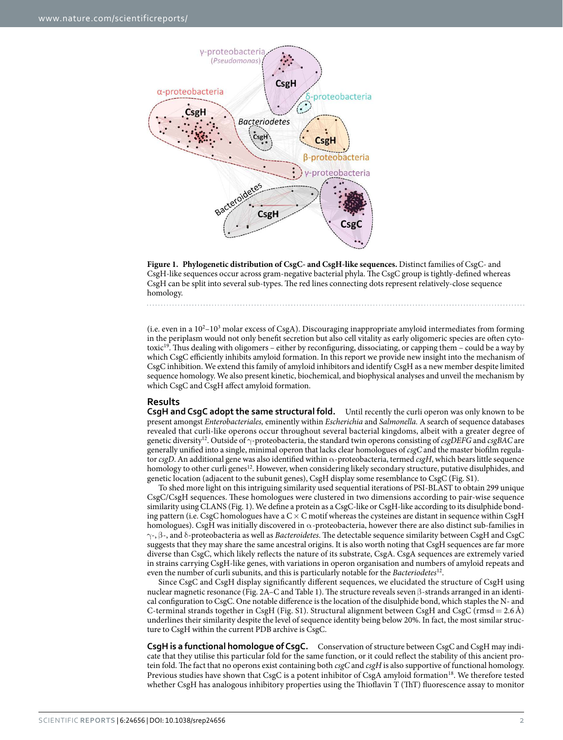



(i.e. even in a  $10^2-10^3$  molar excess of CsgA). Discouraging inappropriate amyloid intermediates from forming in the periplasm would not only benefit secretion but also cell vitality as early oligomeric species are often cytotoxic<sup>19</sup>. Thus dealing with oligomers – either by reconfiguring, dissociating, or capping them – could be a way by which CsgC efficiently inhibits amyloid formation. In this report we provide new insight into the mechanism of CsgC inhibition. We extend this family of amyloid inhibitors and identify CsgH as a new member despite limited sequence homology. We also present kinetic, biochemical, and biophysical analyses and unveil the mechanism by which CsgC and CsgH affect amyloid formation.

### **Results**

**CsgH and CsgC adopt the same structural fold.** Until recently the curli operon was only known to be present amongst Enterobacteriales, eminently within Escherichia and Salmonella. A search of sequence databases revealed that curli-like operons occur throughout several bacterial kingdoms, albeit with a greater degree of genetic diversity<sup>12</sup>. Outside of  $\gamma$ -proteobacteria, the standard twin operons consisting of csgDEFG and csgBAC are generally unified into a single, minimal operon that lacks clear homologues of csgC and the master biofilm regulator csgD. An additional gene was also identified within α -proteobacteria, termed csgH, which bears little sequence homology to other curli genes<sup>12</sup>. However, when considering likely secondary structure, putative disulphides, and genetic location (adjacent to the subunit genes), CsgH display some resemblance to CsgC (Fig. S1).

To shed more light on this intriguing similarity used sequential iterations of PSI-BLAST to obtain 299 unique CsgC/CsgH sequences. These homologues were clustered in two dimensions according to pair-wise sequence similarity using CLANS (Fig. 1). We define a protein as a CsgC-like or CsgH-like according to its disulphide bonding pattern (i.e. CsgC homologues have a C  $\times$  C motif whereas the cysteines are distant in sequence within CsgH homologues). CsgH was initially discovered in  $\alpha$ -proteobacteria, however there are also distinct sub-families in  $\gamma$ -, β-, and δ-proteobacteria as well as *Bacteroidetes*. The detectable sequence similarity between CsgH and CsgC suggests that they may share the same ancestral origins. It is also worth noting that CsgH sequences are far more diverse than CsgC, which likely reflects the nature of its substrate, CsgA. CsgA sequences are extremely varied in strains carrying CsgH-like genes, with variations in operon organisation and numbers of amyloid repeats and even the number of curli subunits, and this is particularly notable for the Bacteriodetes<sup>12</sup>.

Since CsgC and CsgH display significantly different sequences, we elucidated the structure of CsgH using nuclear magnetic resonance (Fig. 2A–C and Table 1). The structure reveals seven β -strands arranged in an identical configuration to CsgC. One notable difference is the location of the disulphide bond, which staples the N- and C-terminal strands together in CsgH (Fig. S1). Structural alignment between CsgH and CsgC (rmsd =  $2.6 \text{ Å}$ ) underlines their similarity despite the level of sequence identity being below 20%. In fact, the most similar structure to CsgH within the current PDB archive is CsgC.

**CsgH is a functional homologue of CsgC.** Conservation of structure between CsgC and CsgH may indicate that they utilise this particular fold for the same function, or it could reflect the stability of this ancient protein fold. The fact that no operons exist containing both *csgC* and *csgH* is also supportive of functional homology. Previous studies have shown that CsgC is a potent inhibitor of CsgA amyloid formation<sup>18</sup>. We therefore tested whether CsgH has analogous inhibitory properties using the Thioflavin T (ThT) fluorescence assay to monitor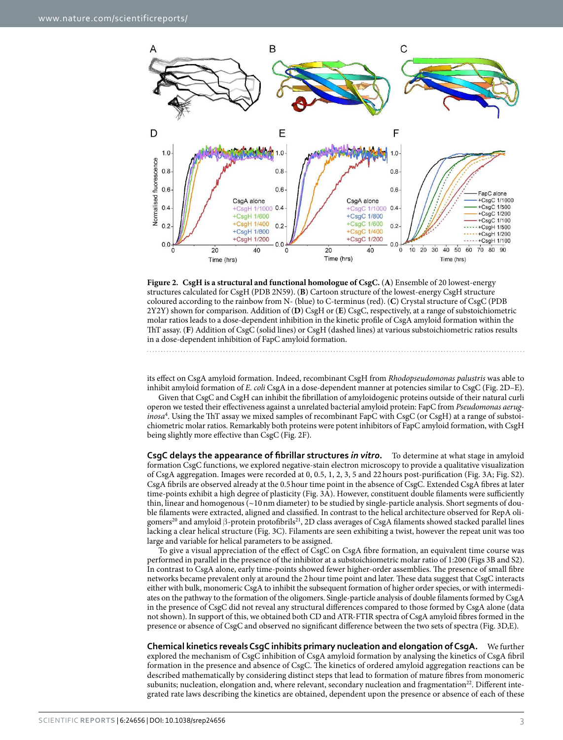



its effect on CsgA amyloid formation. Indeed, recombinant CsgH from Rhodopseudomonas palustris was able to inhibit amyloid formation of E. coli CsgA in a dose-dependent manner at potencies similar to CsgC (Fig. 2D–E).

Given that CsgC and CsgH can inhibit the fibrillation of amyloidogenic proteins outside of their natural curli operon we tested their effectiveness against a unrelated bacterial amyloid protein: FapC from Pseudomonas aeruginosa<sup>4</sup>. Using the ThT assay we mixed samples of recombinant FapC with CsgC (or CsgH) at a range of substoichiometric molar ratios. Remarkably both proteins were potent inhibitors of FapC amyloid formation, with CsgH being slightly more effective than CsgC (Fig. 2F).

**CsgC delays the appearance of fibrillar structures** *in vitro***.** To determine at what stage in amyloid formation CsgC functions, we explored negative-stain electron microscopy to provide a qualitative visualization of CsgA aggregation. Images were recorded at 0, 0.5, 1, 2, 3, 5 and 22 hours post-purification (Fig. 3A; Fig. S2). CsgA fibrils are observed already at the 0.5 hour time point in the absence of CsgC. Extended CsgA fibres at later time-points exhibit a high degree of plasticity (Fig. 3A). However, constituent double filaments were sufficiently thin, linear and homogenous (~10 nm diameter) to be studied by single-particle analysis. Short segments of double filaments were extracted, aligned and classified. In contrast to the helical architecture observed for RepA oligomers<sup>20</sup> and amyloid β-protein protofibrils<sup>21</sup>, 2D class averages of CsgA filaments showed stacked parallel lines lacking a clear helical structure (Fig. 3C). Filaments are seen exhibiting a twist, however the repeat unit was too large and variable for helical parameters to be assigned.

To give a visual appreciation of the effect of CsgC on CsgA fibre formation, an equivalent time course was performed in parallel in the presence of the inhibitor at a substoichiometric molar ratio of 1:200 (Figs 3B and S2). In contrast to CsgA alone, early time-points showed fewer higher-order assemblies. The presence of small fibre networks became prevalent only at around the 2 hour time point and later. These data suggest that CsgC interacts either with bulk, monomeric CsgA to inhibit the subsequent formation of higher order species, or with intermediates on the pathway to the formation of the oligomers. Single-particle analysis of double filaments formed by CsgA in the presence of CsgC did not reveal any structural differences compared to those formed by CsgA alone (data not shown). In support of this, we obtained both CD and ATR-FTIR spectra of CsgA amyloid fibres formed in the presence or absence of CsgC and observed no significant difference between the two sets of spectra (Fig. 3D,E).

**Chemical kinetics reveals CsgC inhibits primary nucleation and elongation of CsgA.** We further explored the mechanism of CsgC inhibition of CsgA amyloid formation by analysing the kinetics of CsgA fibril formation in the presence and absence of CsgC. The kinetics of ordered amyloid aggregation reactions can be described mathematically by considering distinct steps that lead to formation of mature fibres from monomeric subunits; nucleation, elongation and, where relevant, secondary nucleation and fragmentation<sup>22</sup>. Different integrated rate laws describing the kinetics are obtained, dependent upon the presence or absence of each of these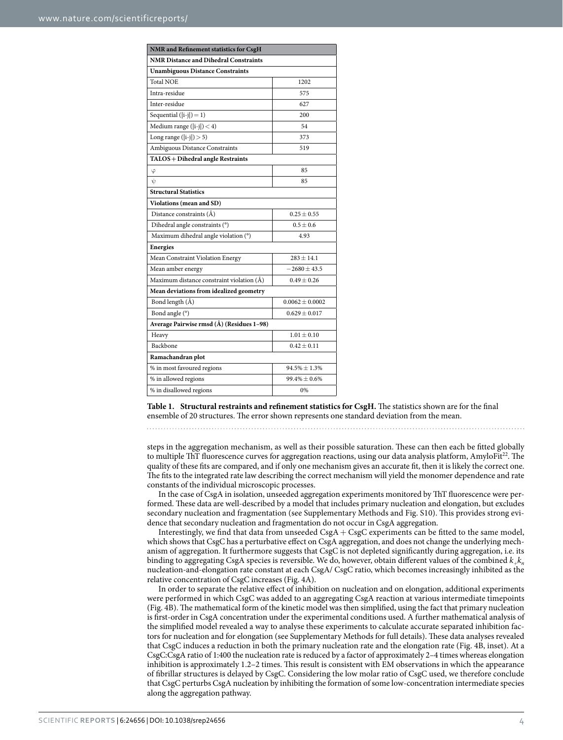| NMR and Refinement statistics for CsgH<br><b>NMR Distance and Dihedral Constraints</b> |                     |
|----------------------------------------------------------------------------------------|---------------------|
|                                                                                        |                     |
| <b>Total NOE</b>                                                                       | 1202                |
| Intra-residue                                                                          | 575                 |
| Inter-residue                                                                          | 627                 |
| Sequential $( i-j )=1$ )                                                               | 200                 |
| Medium range $( i-j ) < 4$ )                                                           | 54                  |
| Long range $( i-j ) > 5$ )                                                             | 373                 |
| Ambiguous Distance Constraints                                                         | 519                 |
| TALOS + Dihedral angle Restraints                                                      |                     |
| φ                                                                                      | 85                  |
| ψ                                                                                      | 85                  |
| <b>Structural Statistics</b>                                                           |                     |
| Violations (mean and SD)                                                               |                     |
| Distance constraints (Å)                                                               | $0.25 \pm 0.55$     |
| Dihedral angle constraints (°)                                                         | $0.5 \pm 0.6$       |
| Maximum dihedral angle violation (°)                                                   | 4.93                |
| <b>Energies</b>                                                                        |                     |
| Mean Constraint Violation Energy                                                       | $283 \pm 14.1$      |
| Mean amber energy                                                                      | $-2680 \pm 43.5$    |
| Maximum distance constraint violation (Å)                                              | $0.49 \pm 0.26$     |
| Mean deviations from idealized geometry                                                |                     |
| Bond length (Å)                                                                        | $0.0062 \pm 0.0002$ |
| Bond angle (°)                                                                         | $0.629 \pm 0.017$   |
| Average Pairwise rmsd (Å) (Residues 1-98)                                              |                     |
| Heavy                                                                                  | $1.01 \pm 0.10$     |
| Backbone                                                                               | $0.42 \pm 0.11$     |
| Ramachandran plot                                                                      |                     |
| % in most favoured regions                                                             | $94.5\% \pm 1.3\%$  |
| % in allowed regions                                                                   | $99.4\% \pm 0.6\%$  |
| % in disallowed regions                                                                | 0%                  |

**Table 1. Structural restraints and refinement statistics for CsgH.** The statistics shown are for the final ensemble of 20 structures. The error shown represents one standard deviation from the mean.

steps in the aggregation mechanism, as well as their possible saturation. These can then each be fitted globally to multiple ThT fluorescence curves for aggregation reactions, using our data analysis platform, AmyloFit<sup>22</sup>. The quality of these fits are compared, and if only one mechanism gives an accurate fit, then it is likely the correct one. The fits to the integrated rate law describing the correct mechanism will yield the monomer dependence and rate constants of the individual microscopic processes.

In the case of CsgA in isolation, unseeded aggregation experiments monitored by ThT fluorescence were performed. These data are well-described by a model that includes primary nucleation and elongation, but excludes secondary nucleation and fragmentation (see Supplementary Methods and Fig. S10). This provides strong evidence that secondary nucleation and fragmentation do not occur in CsgA aggregation.

Interestingly, we find that data from unseeded  $CsgA + CsgC$  experiments can be fitted to the same model, which shows that CsgC has a perturbative effect on CsgA aggregation, and does not change the underlying mechanism of aggregation. It furthermore suggests that CsgC is not depleted significantly during aggregation, i.e. its binding to aggregating CsgA species is reversible. We do, however, obtain different values of the combined  $k_{+}k_{n}$ nucleation-and-elongation rate constant at each CsgA/ CsgC ratio, which becomes increasingly inhibited as the relative concentration of CsgC increases (Fig. 4A).

In order to separate the relative effect of inhibition on nucleation and on elongation, additional experiments were performed in which CsgC was added to an aggregating CsgA reaction at various intermediate timepoints (Fig. 4B). The mathematical form of the kinetic model was then simplified, using the fact that primary nucleation is first-order in CsgA concentration under the experimental conditions used. A further mathematical analysis of the simplified model revealed a way to analyse these experiments to calculate accurate separated inhibition factors for nucleation and for elongation (see Supplementary Methods for full details). These data analyses revealed that CsgC induces a reduction in both the primary nucleation rate and the elongation rate (Fig. 4B, inset). At a CsgC:CsgA ratio of 1:400 the nucleation rate is reduced by a factor of approximately 2–4 times whereas elongation inhibition is approximately 1.2–2 times. This result is consistent with EM observations in which the appearance of fibrillar structures is delayed by CsgC. Considering the low molar ratio of CsgC used, we therefore conclude that CsgC perturbs CsgA nucleation by inhibiting the formation of some low-concentration intermediate species along the aggregation pathway.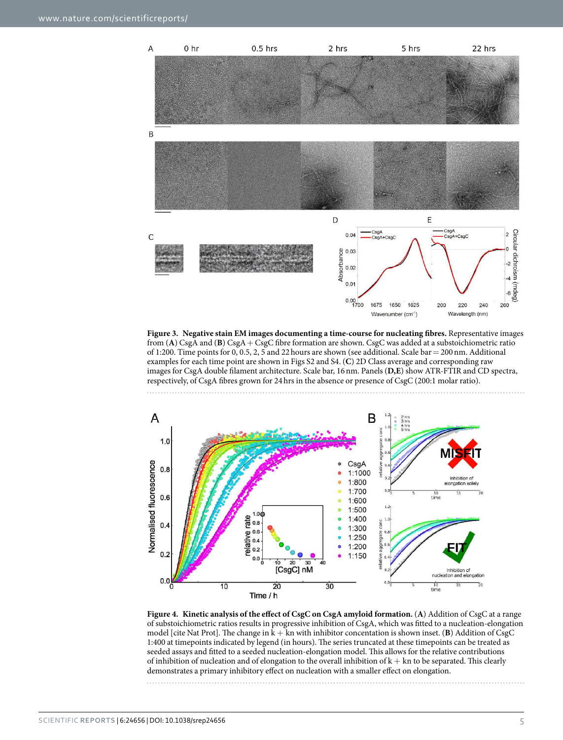

**Figure 3. Negative stain EM images documenting a time-course for nucleating fibres.** Representative images from (**A**) CsgA and (**B**) CsgA + CsgC fibre formation are shown. CsgC was added at a substoichiometric ratio of 1:200. Time points for 0, 0.5, 2, 5 and 22 hours are shown (see additional. Scale bar = 200 nm. Additional examples for each time point are shown in Figs S2 and S4. (**C**) 2D Class average and corresponding raw images for CsgA double filament architecture. Scale bar, 16 nm. Panels (**D,E**) show ATR-FTIR and CD spectra, respectively, of CsgA fibres grown for 24 hrs in the absence or presence of CsgC (200:1 molar ratio).



**Figure 4. Kinetic analysis of the effect of CsgC on CsgA amyloid formation.** (**A**) Addition of CsgC at a range of substoichiometric ratios results in progressive inhibition of CsgA, which was fitted to a nucleation-elongation model [cite Nat Prot]. The change in  $k + kn$  with inhibitor concentation is shown inset. (**B**) Addition of CsgC 1:400 at timepoints indicated by legend (in hours). The series truncated at these timepoints can be treated as seeded assays and fitted to a seeded nucleation-elongation model. This allows for the relative contributions of inhibition of nucleation and of elongation to the overall inhibition of  $k + kn$  to be separated. This clearly demonstrates a primary inhibitory effect on nucleation with a smaller effect on elongation.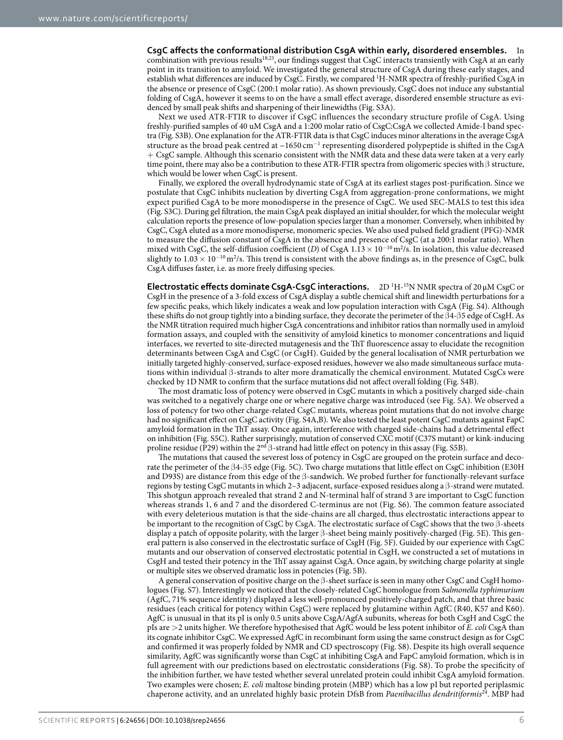**CsgC affects the conformational distribution CsgA within early, disordered ensembles.** In combination with previous results<sup>18,23</sup>, our findings suggest that CsgC interacts transiently with CsgA at an early point in its transition to amyloid. We investigated the general structure of CsgA during these early stages, and establish what differences are induced by CsgC. Firstly, we compared <sup>1</sup>H-NMR spectra of freshly-purified CsgA in the absence or presence of CsgC (200:1 molar ratio). As shown previously, CsgC does not induce any substantial folding of CsgA, however it seems to on the have a small effect average, disordered ensemble structure as evidenced by small peak shifts and sharpening of their linewidths (Fig. S3A).

Next we used ATR-FTIR to discover if CsgC influences the secondary structure profile of CsgA. Using freshly-purified samples of 40 uM CsgA and a 1:200 molar ratio of CsgC:CsgA we collected Amide-I band spectra (Fig. S3B). One explanation for the ATR-FTIR data is that CsgC induces minor alterations in the average CsgA structure as the broad peak centred at ~1650 cm<sup>−</sup><sup>1</sup> representing disordered polypeptide is shifted in the CsgA + CsgC sample. Although this scenario consistent with the NMR data and these data were taken at a very early time point, there may also be a contribution to these ATR-FTIR spectra from oligomeric species with β structure, which would be lower when CsgC is present.

Finally, we explored the overall hydrodynamic state of CsgA at its earliest stages post-purification. Since we postulate that CsgC inhibits nucleation by diverting CsgA from aggregation-prone conformations, we might expect purified CsgA to be more monodisperse in the presence of CsgC. We used SEC-MALS to test this idea (Fig. S3C). During gel filtration, the main CsgA peak displayed an initial shoulder, for which the molecular weight calculation reports the presence of low-population species larger than a monomer. Conversely, when inhibited by CsgC, CsgA eluted as a more monodisperse, monomeric species. We also used pulsed field gradient (PFG)-NMR to measure the diffusion constant of CsgA in the absence and presence of CsgC (at a 200:1 molar ratio). When mixed with CsgC, the self-diffusion coefficient (D) of CsgA  $1.13 \times 10^{-10}$  m<sup>2</sup>/s. In isolation, this value decreased slightly to  $1.03 \times 10^{-10}$  m<sup>2</sup>/s. This trend is consistent with the above findings as, in the presence of CsgC, bulk CsgA diffuses faster, i.e. as more freely diffusing species.

**Electrostatic effects dominate CsgA-CsgC interactions.** 2D <sup>1</sup>H-<sup>15</sup>N NMR spectra of 20 μM CsgC or CsgH in the presence of a 3-fold excess of CsgA display a subtle chemical shift and linewidth perturbations for a few specific peaks, which likely indicates a weak and low population interaction with CsgA (Fig. S4). Although these shifts do not group tightly into a binding surface, they decorate the perimeter of the  $\beta$ 4- $\beta$ 5 edge of CsgH. As the NMR titration required much higher CsgA concentrations and inhibitor ratios than normally used in amyloid formation assays, and coupled with the sensitivity of amyloid kinetics to monomer concentrations and liquid interfaces, we reverted to site-directed mutagenesis and the ThT fluorescence assay to elucidate the recognition determinants between CsgA and CsgC (or CsgH). Guided by the general localisation of NMR perturbation we initially targeted highly-conserved, surface-exposed residues, however we also made simultaneous surface mutations within individual β-strands to alter more dramatically the chemical environment. Mutated CsgCs were checked by 1D NMR to confirm that the surface mutations did not affect overall folding (Fig. S4B).

The most dramatic loss of potency were observed in CsgC mutants in which a positively charged side-chain was switched to a negatively charge one or where negative charge was introduced (see Fig. 5A). We observed a loss of potency for two other charge-related CsgC mutants, whereas point mutations that do not involve charge had no significant effect on CsgC activity (Fig. S4A,B). We also tested the least potent CsgC mutants against FapC amyloid formation in the ThT assay. Once again, interference with charged side-chains had a detrimental effect on inhibition (Fig. S5C). Rather surprisingly, mutation of conserved CXC motif (C37S mutant) or kink-inducing proline residue (P29) within the 2<sup>nd</sup> β-strand had little effect on potency in this assay (Fig. S5B).

The mutations that caused the severest loss of potency in CsgC are grouped on the protein surface and decorate the perimeter of the β4-β5 edge (Fig. 5C). Two charge mutations that little effect on CsgC inhibition (E30H and D93S) are distance from this edge of the β -sandwich. We probed further for functionally-relevant surface regions by testing CsgC mutants in which 2–3 adjacent, surface-exposed residues along a β -strand were mutated. This shotgun approach revealed that strand 2 and N-terminal half of strand 3 are important to CsgC function whereas strands 1, 6 and 7 and the disordered C-terminus are not (Fig. S6). The common feature associated with every deleterious mutation is that the side-chains are all charged, thus electrostatic interactions appear to be important to the recognition of CsgC by CsgA. The electrostatic surface of CsgC shows that the two β -sheets display a patch of opposite polarity, with the larger β -sheet being mainly positively-charged (Fig. 5E). This general pattern is also conserved in the electrostatic surface of CsgH (Fig. 5F). Guided by our experience with CsgC mutants and our observation of conserved electrostatic potential in CsgH, we constructed a set of mutations in CsgH and tested their potency in the ThT assay against CsgA. Once again, by switching charge polarity at single or multiple sites we observed dramatic loss in potencies (Fig. 5B).

A general conservation of positive charge on the β -sheet surface is seen in many other CsgC and CsgH homologues (Fig. S7). Interestingly we noticed that the closely-related CsgC homologue from Salmonella typhimurium (AgfC, 71% sequence identity) displayed a less well-pronounced positively-charged patch, and that three basic residues (each critical for potency within CsgC) were replaced by glutamine within AgfC (R40, K57 and K60). AgfC is unusual in that its pI is only 0.5 units above CsgA/AgfA subunits, whereas for both CsgH and CsgC the pIs are >2 units higher. We therefore hypothesised that AgfC would be less potent inhibitor of E. coli CsgA than its cognate inhibitor CsgC. We expressed AgfC in recombinant form using the same construct design as for CsgC and confirmed it was properly folded by NMR and CD spectroscopy (Fig. S8). Despite its high overall sequence similarity, AgfC was significantly worse than CsgC at inhibiting CsgA and FapC amyloid formation, which is in full agreement with our predictions based on electrostatic considerations (Fig. S8). To probe the specificity of the inhibition further, we have tested whether several unrelated protein could inhibit CsgA amyloid formation. Two examples were chosen; E. coli maltose binding protein (MBP) which has a low pI but reported periplasmic chaperone activity, and an unrelated highly basic protein DfsB from Paenibacillus dendritiformis<sup>24</sup>. MBP had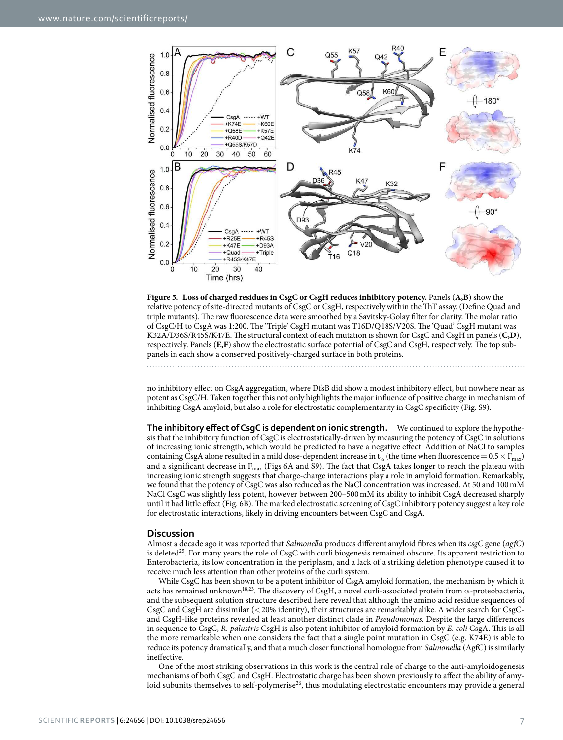



no inhibitory effect on CsgA aggregation, where DfsB did show a modest inhibitory effect, but nowhere near as potent as CsgC/H. Taken together this not only highlights the major influence of positive charge in mechanism of inhibiting CsgA amyloid, but also a role for electrostatic complementarity in CsgC specificity (Fig. S9).

**The inhibitory effect of CsgC is dependent on ionic strength.** We continued to explore the hypothesis that the inhibitory function of CsgC is electrostatically-driven by measuring the potency of CsgC in solutions of increasing ionic strength, which would be predicted to have a negative effect. Addition of NaCl to samples containing CsgA alone resulted in a mild dose-dependent increase in t<sub>1/2</sub> (the time when fluorescence =  $0.5 \times F_{\text{max}}$ ) and a significant decrease in F<sub>max</sub> (Figs 6A and S9). The fact that CsgA takes longer to reach the plateau with increasing ionic strength suggests that charge-charge interactions play a role in amyloid formation. Remarkably, we found that the potency of CsgC was also reduced as the NaCl concentration was increased. At 50 and 100 mM NaCl CsgC was slightly less potent, however between 200–500 mM its ability to inhibit CsgA decreased sharply until it had little effect (Fig. 6B). The marked electrostatic screening of CsgC inhibitory potency suggest a key role for electrostatic interactions, likely in driving encounters between CsgC and CsgA.

#### **Discussion**

Almost a decade ago it was reported that Salmonella produces different amyloid fibres when its csgC gene (agfC) is deleted<sup>25</sup>. For many years the role of CsgC with curli biogenesis remained obscure. Its apparent restriction to Enterobacteria, its low concentration in the periplasm, and a lack of a striking deletion phenotype caused it to receive much less attention than other proteins of the curli system.

While CsgC has been shown to be a potent inhibitor of CsgA amyloid formation, the mechanism by which it acts has remained unknown18,23. The discovery of CsgH, a novel curli-associated protein from α -proteobacteria, and the subsequent solution structure described here reveal that although the amino acid residue sequences of CsgC and CsgH are dissimilar (< 20% identity), their structures are remarkably alike. A wider search for CsgCand CsgH-like proteins revealed at least another distinct clade in Pseudomonas. Despite the large differences in sequence to CsgC, R. palustris CsgH is also potent inhibitor of amyloid formation by E. coli CsgA. This is all the more remarkable when one considers the fact that a single point mutation in CsgC (e.g. K74E) is able to reduce its potency dramatically, and that a much closer functional homologue from Salmonella (AgfC) is similarly ineffective.

One of the most striking observations in this work is the central role of charge to the anti-amyloidogenesis mechanisms of both CsgC and CsgH. Electrostatic charge has been shown previously to affect the ability of amyloid subunits themselves to self-polymerise<sup>26</sup>, thus modulating electrostatic encounters may provide a general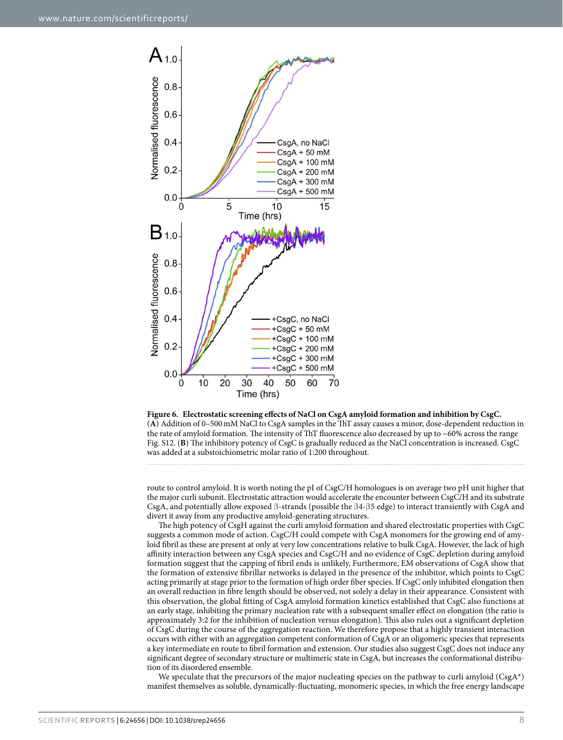



route to control amyloid. It is worth noting the pI of CsgC/H homologues is on average two pH unit higher that the major curli subunit. Electrostatic attraction would accelerate the encounter between CsgC/H and its substrate CsgA, and potentially allow exposed  $\beta$ -strands (possible the  $\beta$ 4- $\beta$ 5 edge) to interact transiently with CsgA and divert it away from any productive amyloid-generating structures.

The high potency of CsgH against the curli amyloid formation and shared electrostatic properties with CsgC suggests a common mode of action. CsgC/H could compete with CsgA monomers for the growing end of amyloid fibril as these are present at only at very low concentrations relative to bulk CsgA. However, the lack of high affinity interaction between any CsgA species and CsgC/H and no evidence of CsgC depletion during amyloid formation suggest that the capping of fibril ends is unlikely, Furthermore, EM observations of CsgA show that the formation of extensive fibrillar networks is delayed in the presence of the inhibitor, which points to CsgC acting primarily at stage prior to the formation of high order fiber species. If CsgC only inhibited elongation then an overall reduction in fibre length should be observed, not solely a delay in their appearance. Consistent with this observation, the global fitting of CsgA amyloid formation kinetics established that CsgC also functions at an early stage, inhibiting the primary nucleation rate with a subsequent smaller effect on elongation (the ratio is approximately 3:2 for the inhibition of nucleation versus elongation). This also rules out a significant depletion of CsgC during the course of the aggregation reaction. We therefore propose that a highly transient interaction occurs with either with an aggregation competent conformation of CsgA or an oligomeric species that represents a key intermediate en route to fibril formation and extension. Our studies also suggest CsgC does not induce any significant degree of secondary structure or multimeric state in CsgA, but increases the conformational distribution of its disordered ensemble.

We speculate that the precursors of the major nucleating species on the pathway to curli amyloid (CsgA\*) manifest themselves as soluble, dynamically-fluctuating, monomeric species, in which the free energy landscape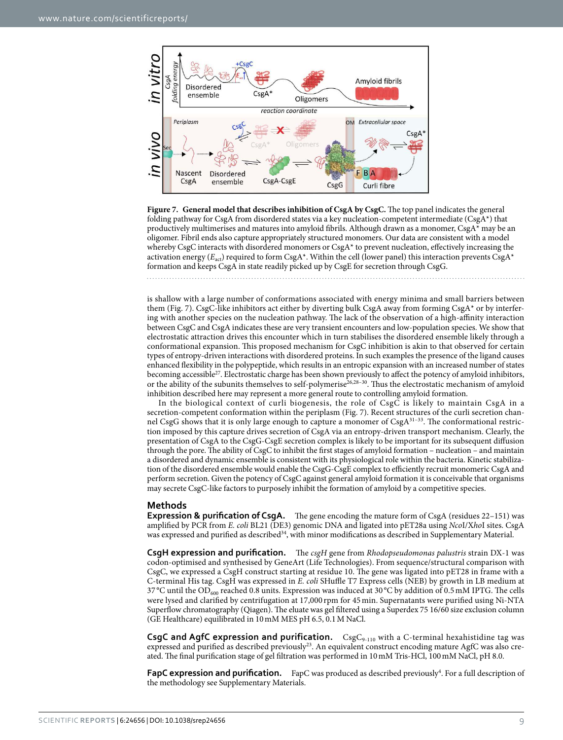

**Figure 7. General model that describes inhibition of CsgA by CsgC.** The top panel indicates the general folding pathway for CsgA from disordered states via a key nucleation-competent intermediate (CsgA\*) that productively multimerises and matures into amyloid fibrils. Although drawn as a monomer, CsgA\* may be an oligomer. Fibril ends also capture appropriately structured monomers. Our data are consistent with a model whereby CsgC interacts with disordered monomers or CsgA\* to prevent nucleation, effectively increasing the activation energy ( $E_{act}$ ) required to form CsgA\*. Within the cell (lower panel) this interaction prevents CsgA\* formation and keeps CsgA in state readily picked up by CsgE for secretion through CsgG.

is shallow with a large number of conformations associated with energy minima and small barriers between them (Fig. 7). CsgC-like inhibitors act either by diverting bulk CsgA away from forming CsgA\* or by interfering with another species on the nucleation pathway. The lack of the observation of a high-affinity interaction between CsgC and CsgA indicates these are very transient encounters and low-population species. We show that electrostatic attraction drives this encounter which in turn stabilises the disordered ensemble likely through a conformational expansion. This proposed mechanism for CsgC inhibition is akin to that observed for certain types of entropy-driven interactions with disordered proteins. In such examples the presence of the ligand causes enhanced flexibility in the polypeptide, which results in an entropic expansion with an increased number of states becoming accessible<sup>27</sup>. Electrostatic charge has been shown previously to affect the potency of amyloid inhibitors, or the ability of the subunits themselves to self-polymerise<sup>26,28-30</sup>. Thus the electrostatic mechanism of amyloid inhibition described here may represent a more general route to controlling amyloid formation.

In the biological context of curli biogenesis, the role of CsgC is likely to maintain CsgA in a secretion-competent conformation within the periplasm (Fig. 7). Recent structures of the curli secretion channel CsgG shows that it is only large enough to capture a monomer of CsgA31–33. The conformational restriction imposed by this capture drives secretion of CsgA via an entropy-driven transport mechanism. Clearly, the presentation of CsgA to the CsgG-CsgE secretion complex is likely to be important for its subsequent diffusion through the pore. The ability of CsgC to inhibit the first stages of amyloid formation – nucleation – and maintain a disordered and dynamic ensemble is consistent with its physiological role within the bacteria. Kinetic stabilization of the disordered ensemble would enable the CsgG-CsgE complex to efficiently recruit monomeric CsgA and perform secretion. Given the potency of CsgC against general amyloid formation it is conceivable that organisms may secrete CsgC-like factors to purposely inhibit the formation of amyloid by a competitive species.

#### **Methods**

**Expression & purification of CsgA.** The gene encoding the mature form of CsgA (residues 22–151) was amplified by PCR from E. coli BL21 (DE3) genomic DNA and ligated into pET28a using NcoI/XhoI sites. CsgA was expressed and purified as described<sup>34</sup>, with minor modifications as described in Supplementary Material.

**CsgH expression and purification.** The csgH gene from Rhodopseudomonas palustris strain DX-1 was codon-optimised and synthesised by GeneArt (Life Technologies). From sequence/structural comparison with CsgC, we expressed a CsgH construct starting at residue 10. The gene was ligated into pET28 in frame with a C-terminal His tag. CsgH was expressed in E. coli SHuffle T7 Express cells (NEB) by growth in LB medium at 37 °C until the OD<sub>600</sub> reached 0.8 units. Expression was induced at 30 °C by addition of 0.5 mM IPTG. The cells were lysed and clarified by centrifugation at 17,000 rpm for 45 min. Supernatants were purified using Ni-NTA Superflow chromatography (Qiagen). The eluate was gel filtered using a Superdex 75 16/60 size exclusion column (GE Healthcare) equilibrated in 10 mM MES pH 6.5, 0.1 M NaCl.

CsgC and AgfC expression and purification. CsgC<sub>9-110</sub> with a C-terminal hexahistidine tag was expressed and purified as described previously<sup>23</sup>. An equivalent construct encoding mature AgfC was also created. The final purification stage of gel filtration was performed in 10 mM Tris-HCl, 100 mM NaCl, pH 8.0.

FapC expression and purification. FapC was produced as described previously<sup>4</sup>. For a full description of the methodology see Supplementary Materials.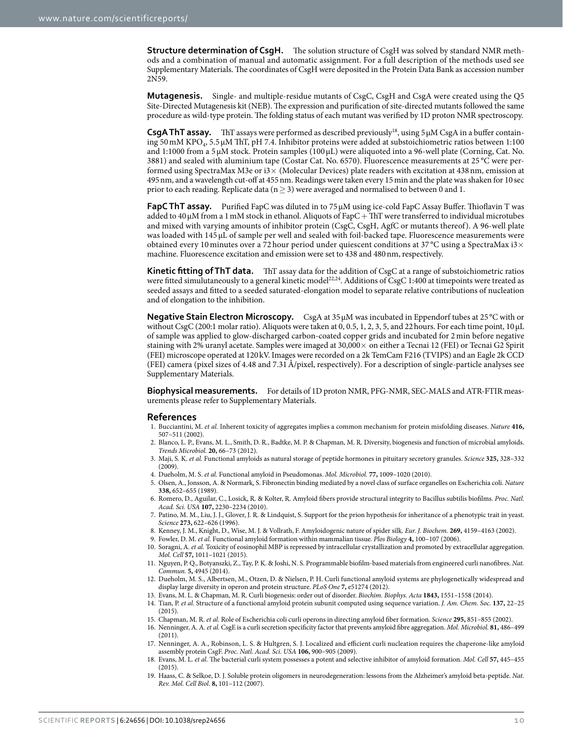**Structure determination of CsqH.** The solution structure of CsgH was solved by standard NMR methods and a combination of manual and automatic assignment. For a full description of the methods used see Supplementary Materials. The coordinates of CsgH were deposited in the Protein Data Bank as accession number 2N59.

**Mutagenesis.** Single- and multiple-residue mutants of CsgC, CsgH and CsgA were created using the Q5 Site-Directed Mutagenesis kit (NEB). The expression and purification of site-directed mutants followed the same procedure as wild-type protein. The folding status of each mutant was verified by 1D proton NMR spectroscopy.

**CsgA tht assay.** ThT assays were performed as described previously18, using 5 μM CsgA in a buffer containing 50 mM KPO<sup>4</sup> , 5.5 μM ThT, pH 7.4. Inhibitor proteins were added at substoichiometric ratios between 1:100 and 1:1000 from a 5 μM stock. Protein samples (100 μL) were aliquoted into a 96-well plate (Corning, Cat. No. 3881) and sealed with aluminium tape (Costar Cat. No. 6570). Fluorescence measurements at 25 °C were performed using SpectraMax M3e or  $i3\times$  (Molecular Devices) plate readers with excitation at 438 nm, emission at 495 nm, and a wavelength cut-off at 455 nm. Readings were taken every 15 min and the plate was shaken for 10 sec prior to each reading. Replicate data ( $n \ge 3$ ) were averaged and normalised to between 0 and 1.

**FapC tht assay.** Purified FapC was diluted in to 75 μM using ice-cold FapC Assay Buffer. Thioflavin T was added to 40 μM from a 1 mM stock in ethanol. Aliquots of FapC + ThT were transferred to individual microtubes and mixed with varying amounts of inhibitor protein (CsgC, CsgH, AgfC or mutants thereof). A 96-well plate was loaded with 145 μL of sample per well and sealed with foil-backed tape. Fluorescence measurements were obtained every 10 minutes over a 72 hour period under quiescent conditions at 37 °C using a SpectraMax i3× machine. Fluorescence excitation and emission were set to 438 and 480 nm, respectively.

**Kinetic fitting of ThT data.** ThT assay data for the addition of CsgC at a range of substoichiometric ratios were fitted simulutaneously to a general kinetic model<sup>22,24</sup>. Additions of CsgC 1:400 at timepoints were treated as seeded assays and fitted to a seeded saturated-elongation model to separate relative contributions of nucleation and of elongation to the inhibition.

**Negative stain electron Microscopy.** CsgA at 35 μM was incubated in Eppendorf tubes at 25 °C with or without CsgC (200:1 molar ratio). Aliquots were taken at 0, 0.5, 1, 2, 3, 5, and 22 hours. For each time point, 10 μL of sample was applied to glow-discharged carbon-coated copper grids and incubated for 2 min before negative staining with 2% uranyl acetate. Samples were imaged at 30,000 × on either a Tecnai 12 (FEI) or Tecnai G2 Spirit (FEI) microscope operated at 120 kV. Images were recorded on a 2k TemCam F216 (TVIPS) and an Eagle 2k CCD (FEI) camera (pixel sizes of 4.48 and 7.31 Å/pixel, respectively). For a description of single-particle analyses see Supplementary Materials.

**Biophysical measurements.** For details of 1D proton NMR, PFG-NMR, SEC-MALS and ATR-FTIR measurements please refer to Supplementary Materials.

#### **References**

- 1. Bucciantini, M. et al. Inherent toxicity of aggregates implies a common mechanism for protein misfolding diseases. Nature **416,** 507–511 (2002).
- 2. Blanco, L. P., Evans, M. L., Smith, D. R., Badtke, M. P. & Chapman, M. R. Diversity, biogenesis and function of microbial amyloids. Trends Microbiol. **20,** 66–73 (2012).
- 3. Maji, S. K. et al. Functional amyloids as natural storage of peptide hormones in pituitary secretory granules. Science **325,** 328–332 (2009).
- 4. Dueholm, M. S. et al. Functional amyloid in Pseudomonas. Mol. Microbiol. **77,** 1009–1020 (2010).
- 5. Olsen, A., Jonsson, A. & Normark, S. Fibronectin binding mediated by a novel class of surface organelles on Escherichia coli. Nature **338,** 652–655 (1989).
- 6. Romero, D., Aguilar, C., Losick, R. & Kolter, R. Amyloid fibers provide structural integrity to Bacillus subtilis biofilms. Proc. Natl. Acad. Sci. USA **107,** 2230–2234 (2010).
- 7. Patino, M. M., Liu, J. J., Glover, J. R. & Lindquist, S. Support for the prion hypothesis for inheritance of a phenotypic trait in yeast. Science **273,** 622–626 (1996).
- 8. Kenney, J. M., Knight, D., Wise, M. J. & Vollrath, F. Amyloidogenic nature of spider silk. Eur. J. Biochem. **269,** 4159–4163 (2002).
- 9. Fowler, D. M. et al. Functional amyloid formation within mammalian tissue. Plos Biology **4,** 100–107 (2006).
- 10. Soragni, A. et al. Toxicity of eosinophil MBP is repressed by intracellular crystallization and promoted by extracellular aggregation. Mol. Cell **57,** 1011–1021 (2015).
- 11. Nguyen, P. Q., Botyanszki, Z., Tay, P. K. & Joshi, N. S. Programmable biofilm-based materials from engineered curli nanofibres. Nat. Commun. **5,** 4945 (2014).
- 12. Dueholm, M. S., Albertsen, M., Otzen, D. & Nielsen, P. H. Curli functional amyloid systems are phylogenetically widespread and display large diversity in operon and protein structure. PLoS One **7,** e51274 (2012).
- 13. Evans, M. L. & Chapman, M. R. Curli biogenesis: order out of disorder. Biochim. Biophys. Acta **1843,** 1551–1558 (2014).
- 14. Tian, P. et al. Structure of a functional amyloid protein subunit computed using sequence variation. J. Am. Chem. Soc. **137,** 22–25 (2015).
- 15. Chapman, M. R. et al. Role of Escherichia coli curli operons in directing amyloid fiber formation. Science **295,** 851–855 (2002).
- 16. Nenninger, A. A. et al. CsgE is a curli secretion specificity factor that prevents amyloid fibre aggregation. Mol. Microbiol. **81,** 486–499 (2011).
- 17. Nenninger, A. A., Robinson, L. S. & Hultgren, S. J. Localized and efficient curli nucleation requires the chaperone-like amyloid assembly protein CsgF. Proc. Natl. Acad. Sci. USA **106,** 900–905 (2009).
- 18. Evans, M. L. et al. The bacterial curli system possesses a potent and selective inhibitor of amyloid formation. Mol. Cell **57,** 445–455 (2015).
- 19. Haass, C. & Selkoe, D. J. Soluble protein oligomers in neurodegeneration: lessons from the Alzheimer's amyloid beta-peptide. Nat. Rev. Mol. Cell Biol. **8,** 101–112 (2007).